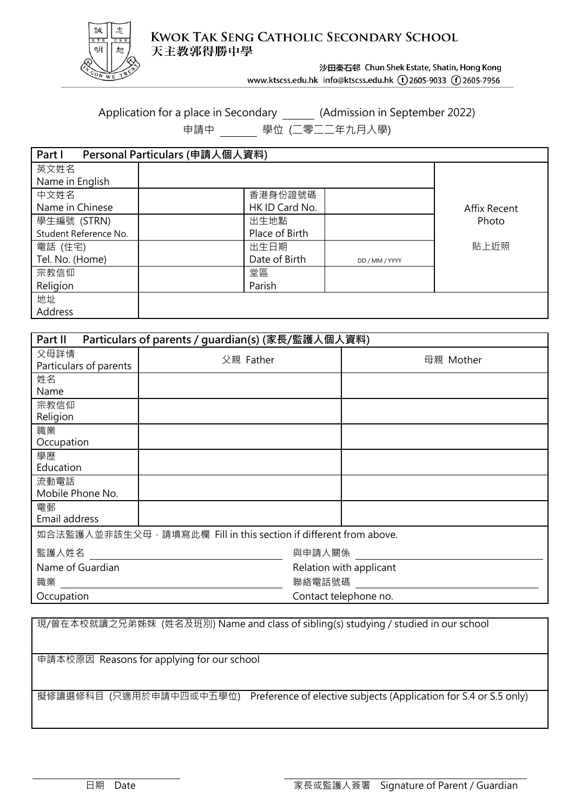

**KWOK TAK SENG CATHOLIC SECONDARY SCHOOL** 天主教郭得勝中學

沙田秦石邨 Chun Shek Estate, Shatin, Hong Kong

www.ktscss.edu.hk info@ktscss.edu.hk (t)2605-9033 (f)2605-7956

Application for a place in Secondary \_\_\_\_\_\_\_ (Admission in September 2022)

申請中 學位 (二零二二年九月入學)

| Part I                | Personal Particulars (申請人個人資料) |                |                |              |
|-----------------------|--------------------------------|----------------|----------------|--------------|
| 英文姓名                  |                                |                |                |              |
| Name in English       |                                |                |                |              |
| 中文姓名                  |                                | 香港身份證號碼        |                |              |
| Name in Chinese       |                                | HK ID Card No. |                | Affix Recent |
| 學生編號 (STRN)           |                                | 出生地點           |                | Photo        |
| Student Reference No. |                                | Place of Birth |                |              |
| 電話 (住宅)               |                                | 出生日期           |                | 貼上近照         |
| Tel. No. (Home)       |                                | Date of Birth  | DD / MM / YYYY |              |
| 宗教信仰                  |                                | 堂區             |                |              |
| Religion              |                                | Parish         |                |              |
| 地址                    |                                |                |                |              |
| Address               |                                |                |                |              |

| Particulars of parents / guardian(s) (家長/監護人個人資料)<br>Part II     |           |                                   |  |  |  |  |  |
|------------------------------------------------------------------|-----------|-----------------------------------|--|--|--|--|--|
| 父母詳情<br>Particulars of parents                                   | 父親 Father | 母親 Mother                         |  |  |  |  |  |
| 姓名<br>Name                                                       |           |                                   |  |  |  |  |  |
| 宗教信仰<br>Religion                                                 |           |                                   |  |  |  |  |  |
| 職業<br>Occupation                                                 |           |                                   |  |  |  |  |  |
| 學歷<br>Education                                                  |           |                                   |  |  |  |  |  |
| 流動電話<br>Mobile Phone No.                                         |           |                                   |  |  |  |  |  |
| 電郵<br>Email address                                              |           |                                   |  |  |  |  |  |
| 如合法監護人並非該生父母,請填寫此欄 Fill in this section if different from above. |           |                                   |  |  |  |  |  |
| 監護人姓名                                                            |           | 與申請人關係                            |  |  |  |  |  |
| Name of Guardian<br>職業                                           |           | Relation with applicant<br>聯絡電話號碼 |  |  |  |  |  |
| Occupation                                                       |           | Contact telephone no.             |  |  |  |  |  |

現/曾在本校就讀之兄弟姊妹 (姓名及班別) Name and class of sibling(s) studying / studied in our school

申請本校原因 Reasons for applying for our school

擬修讀選修科目 (只適用於申請中四或中五學位) Preference of elective subjects (Application for S.4 or S.5 only)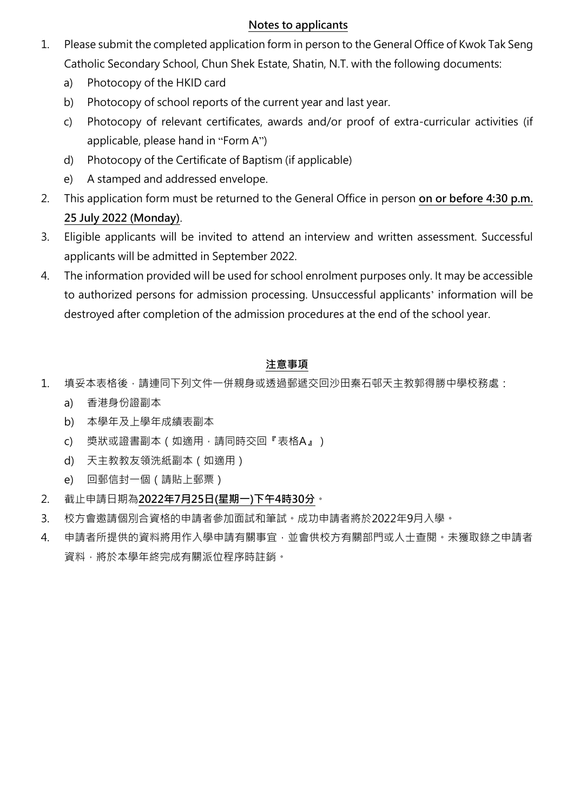### **Notes to applicants**

- 1. Please submit the completed application form in person to the General Office of Kwok Tak Seng Catholic Secondary School, Chun Shek Estate, Shatin, N.T. with the following documents:
	- a) Photocopy of the HKID card
	- b) Photocopy of school reports of the current year and last year.
	- c) Photocopy of relevant certificates, awards and/or proof of extra-curricular activities (if applicable, please hand in "Form A")
	- d) Photocopy of the Certificate of Baptism (if applicable)
	- e) A stamped and addressed envelope.
- 2. This application form must be returned to the General Office in person **on or before 4:30 p.m. 25 July 2022 (Monday)**.
- 3. Eligible applicants will be invited to attend an interview and written assessment. Successful applicants will be admitted in September 2022.
- 4. The information provided will be used for school enrolment purposes only. It may be accessible to authorized persons for admission processing. Unsuccessful applicants' information will be destroyed after completion of the admission procedures at the end of the school year.

# **注意事項**

- 1. 填妥本表格後,請連同下列文件一併親身或透過郵遞交回沙田秦石邨天主教郭得勝中學校務處:
	- a) 香港身份證副本
	- b) 本學年及上學年成績表副本
	- c) 獎狀或證書副本(如適用,請同時交回『表格A』)
	- d) 天主教教友領洗紙副本(如適用)
	- e) 回郵信封一個(請貼上郵票)
- 2. 截止申請日期為**2022年7月25日(星期一)下午4時30分**。
- 3. 校方會邀請個別合資格的申請者參加面試和筆試。成功申請者將於2022年9月入學。
- 4. 申請者所提供的資料將用作入學申請有關事宜,並會供校方有關部門或人士查閱,未獲取錄之申請者 資料,將於本學年終完成有關派位程序時註銷。